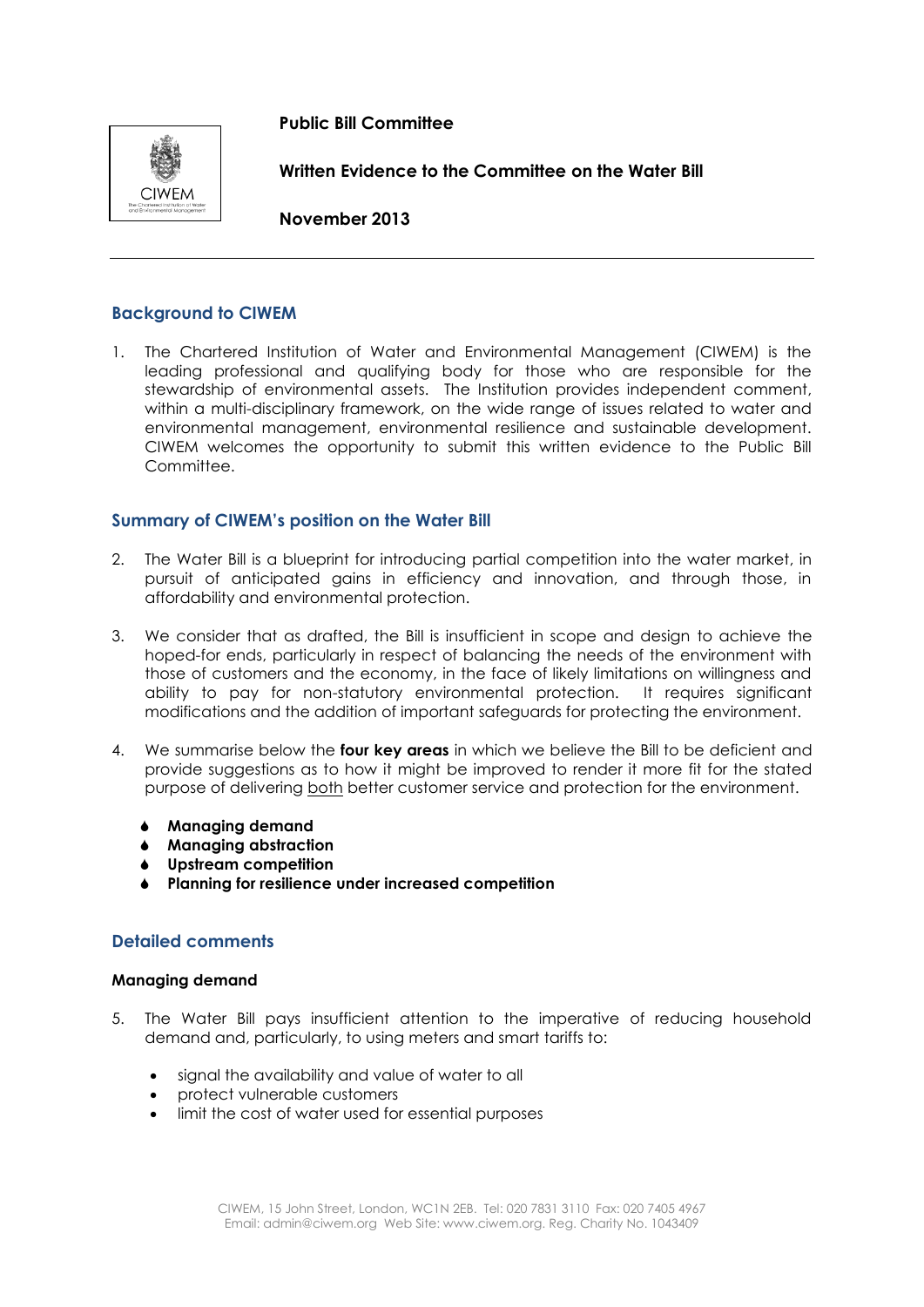## **Public Bill Committee**



**Written Evidence to the Committee on the Water Bill**

**November 2013**

# **Background to CIWEM**

1. The Chartered Institution of Water and Environmental Management (CIWEM) is the leading professional and qualifying body for those who are responsible for the stewardship of environmental assets. The Institution provides independent comment, within a multi-disciplinary framework, on the wide range of issues related to water and environmental management, environmental resilience and sustainable development. CIWEM welcomes the opportunity to submit this written evidence to the Public Bill Committee.

## **Summary of CIWEM's position on the Water Bill**

- 2. The Water Bill is a blueprint for introducing partial competition into the water market, in pursuit of anticipated gains in efficiency and innovation, and through those, in affordability and environmental protection.
- 3. We consider that as drafted, the Bill is insufficient in scope and design to achieve the hoped-for ends, particularly in respect of balancing the needs of the environment with those of customers and the economy, in the face of likely limitations on willingness and ability to pay for non-statutory environmental protection. It requires significant modifications and the addition of important safeguards for protecting the environment.
- 4. We summarise below the **four key areas** in which we believe the Bill to be deficient and provide suggestions as to how it might be improved to render it more fit for the stated purpose of delivering both better customer service and protection for the environment.
	- **Managing demand**
	- **Managing abstraction**
	- **Upstream competition**
	- **Planning for resilience under increased competition**

## **Detailed comments**

### **Managing demand**

- 5. The Water Bill pays insufficient attention to the imperative of reducing household demand and, particularly, to using meters and smart tariffs to:
	- signal the availability and value of water to all
	- protect vulnerable customers
	- limit the cost of water used for essential purposes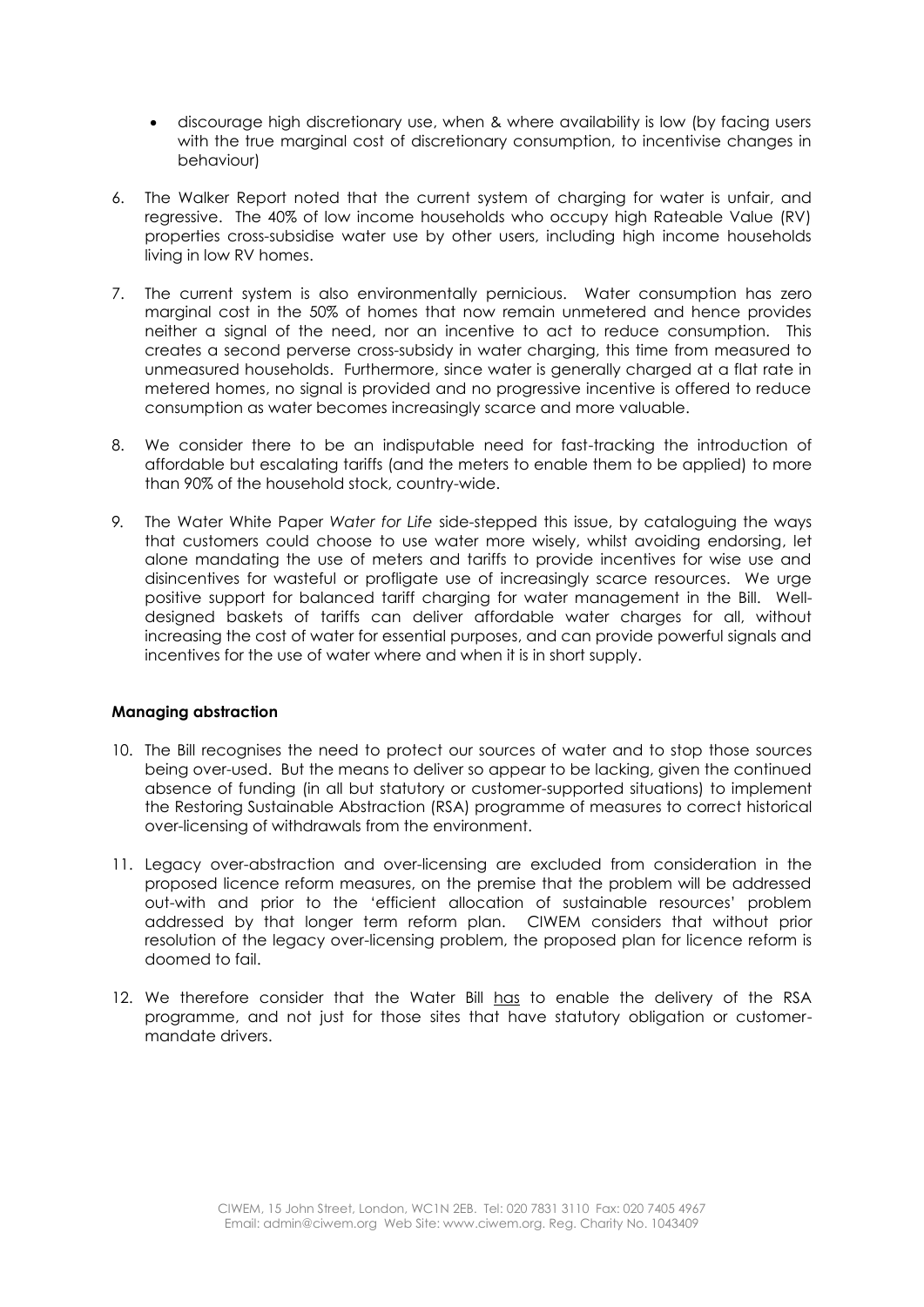- discourage high discretionary use, when & where availability is low (by facing users with the true marginal cost of discretionary consumption, to incentivise changes in behaviour)
- 6. The Walker Report noted that the current system of charging for water is unfair, and regressive. The 40% of low income households who occupy high Rateable Value (RV) properties cross-subsidise water use by other users, including high income households living in low RV homes.
- 7. The current system is also environmentally pernicious. Water consumption has zero marginal cost in the 50% of homes that now remain unmetered and hence provides neither a signal of the need, nor an incentive to act to reduce consumption. This creates a second perverse cross-subsidy in water charging, this time from measured to unmeasured households. Furthermore, since water is generally charged at a flat rate in metered homes, no signal is provided and no progressive incentive is offered to reduce consumption as water becomes increasingly scarce and more valuable.
- 8. We consider there to be an indisputable need for fast-tracking the introduction of affordable but escalating tariffs (and the meters to enable them to be applied) to more than 90% of the household stock, country-wide.
- *9.* The Water White Paper *Water for Life* side-stepped this issue, by cataloguing the ways that customers could choose to use water more wisely, whilst avoiding endorsing, let alone mandating the use of meters and tariffs to provide incentives for wise use and disincentives for wasteful or profligate use of increasingly scarce resources. We urge positive support for balanced tariff charging for water management in the Bill.Welldesigned baskets of tariffs can deliver affordable water charges for all, without increasing the cost of water for essential purposes, and can provide powerful signals and incentives for the use of water where and when it is in short supply.

### **Managing abstraction**

- 10. The Bill recognises the need to protect our sources of water and to stop those sources being over-used. But the means to deliver so appear to be lacking, given the continued absence of funding (in all but statutory or customer-supported situations) to implement the Restoring Sustainable Abstraction (RSA) programme of measures to correct historical over-licensing of withdrawals from the environment.
- 11. Legacy over-abstraction and over-licensing are excluded from consideration in the proposed licence reform measures, on the premise that the problem will be addressed out-with and prior to the 'efficient allocation of sustainable resources' problem addressed by that longer term reform plan. CIWEM considers that without prior resolution of the legacy over-licensing problem, the proposed plan for licence reform is doomed to fail.
- 12. We therefore consider that the Water Bill has to enable the delivery of the RSA programme, and not just for those sites that have statutory obligation or customermandate drivers.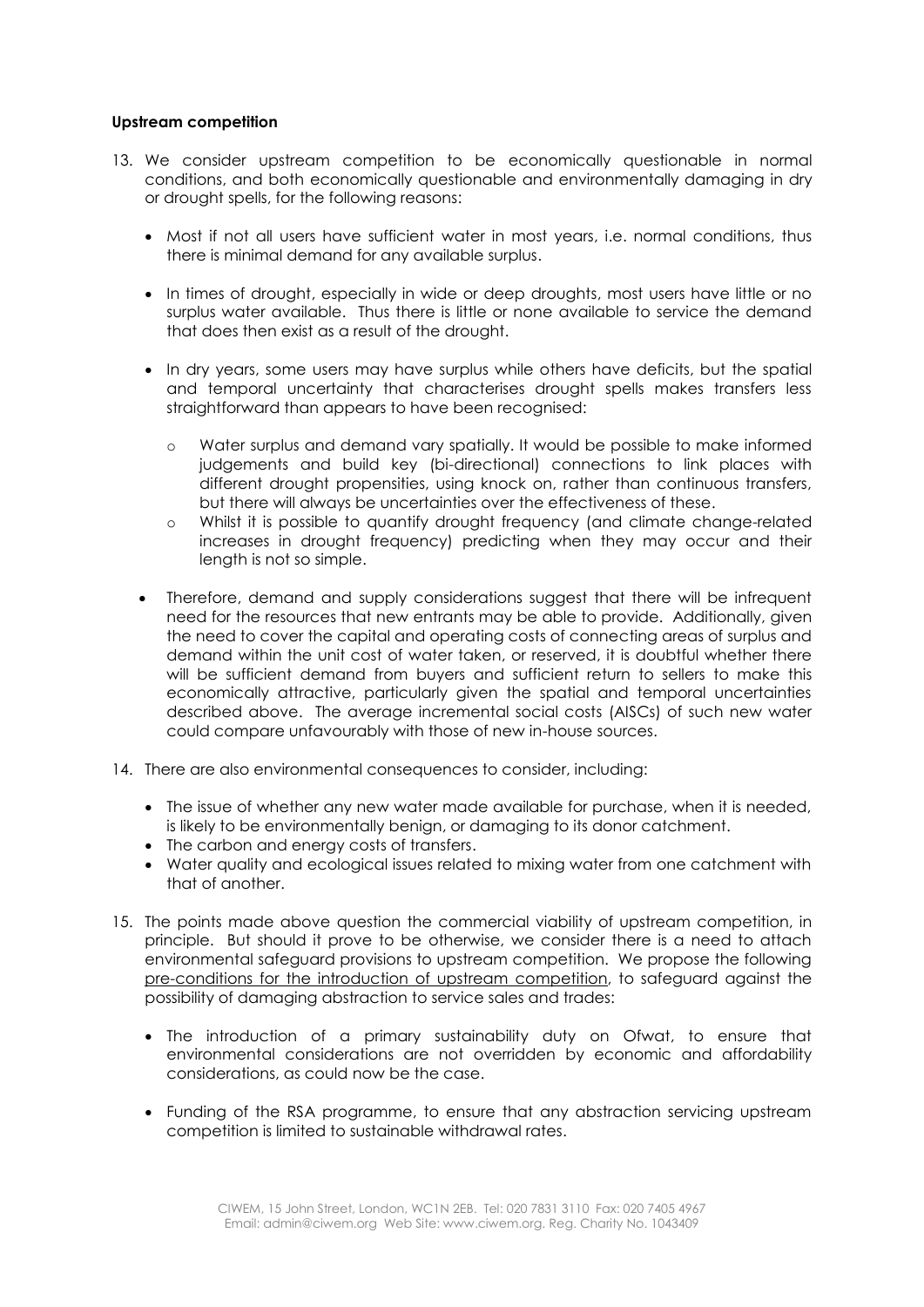### **Upstream competition**

- 13. We consider upstream competition to be economically questionable in normal conditions, and both economically questionable and environmentally damaging in dry or drought spells, for the following reasons:
	- Most if not all users have sufficient water in most years, i.e. normal conditions, thus there is minimal demand for any available surplus.
	- In times of drought, especially in wide or deep droughts, most users have little or no surplus water available. Thus there is little or none available to service the demand that does then exist as a result of the drought.
	- In dry years, some users may have surplus while others have deficits, but the spatial and temporal uncertainty that characterises drought spells makes transfers less straightforward than appears to have been recognised:
		- o Water surplus and demand vary spatially. It would be possible to make informed judgements and build key (bi-directional) connections to link places with different drought propensities, using knock on, rather than continuous transfers, but there will always be uncertainties over the effectiveness of these.
		- o Whilst it is possible to quantify drought frequency (and climate change-related increases in drought frequency) predicting when they may occur and their length is not so simple.
	- Therefore, demand and supply considerations suggest that there will be infrequent need for the resources that new entrants may be able to provide. Additionally, given the need to cover the capital and operating costs of connecting areas of surplus and demand within the unit cost of water taken, or reserved, it is doubtful whether there will be sufficient demand from buyers and sufficient return to sellers to make this economically attractive, particularly given the spatial and temporal uncertainties described above. The average incremental social costs (AISCs) of such new water could compare unfavourably with those of new in-house sources.
- 14. There are also environmental consequences to consider, including:
	- The issue of whether any new water made available for purchase, when it is needed, is likely to be environmentally benign, or damaging to its donor catchment.
	- The carbon and energy costs of transfers.
	- Water quality and ecological issues related to mixing water from one catchment with that of another.
- 15. The points made above question the commercial viability of upstream competition, in principle. But should it prove to be otherwise, we consider there is a need to attach environmental safeguard provisions to upstream competition. We propose the following pre-conditions for the introduction of upstream competition, to safeguard against the possibility of damaging abstraction to service sales and trades:
	- The introduction of a primary sustainability duty on Ofwat, to ensure that environmental considerations are not overridden by economic and affordability considerations, as could now be the case.
	- Funding of the RSA programme, to ensure that any abstraction servicing upstream competition is limited to sustainable withdrawal rates.